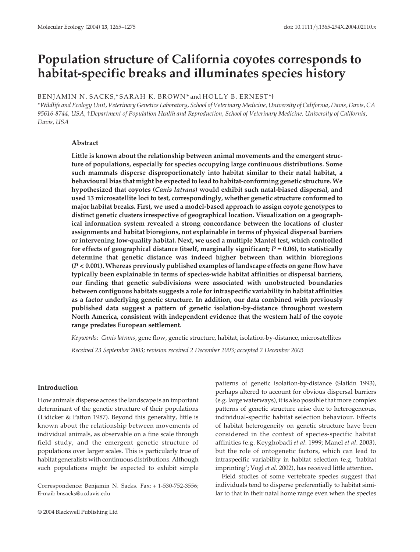# Population structure of California coyotes corresponds to **habitat-specific breaks and illuminates species history**

# BENJAMIN N. SACKS,\* SARAH K. BROWN\* and HOLLY B. ERNEST\*+

\**Wildlife and Ecology Unit, Veterinary Genetics Laboratory, School of Veterinary Medicine, University of California, Davis, Davis, CA 95616-8744, USA,* †*Department of Population Health and Reproduction, School of Veterinary Medicine, University of California, Davis, USA* 

## **Abstract**

**Little is known about the relationship between animal movements and the emergent structure of populations, especially for species occupying large continuous distributions. Some such mammals disperse disproportionately into habitat similar to their natal habitat, a behavioural bias that might be expected to lead to habitat-conforming genetic structure. We hypothesized that coyotes (***Canis latrans***) would exhibit such natal-biased dispersal, and used 13 microsatellite loci to test, correspondingly, whether genetic structure conformed to major habitat breaks. First, we used a model-based approach to assign coyote genotypes to distinct genetic clusters irrespective of geographical location. Visualization on a geographical information system revealed a strong concordance between the locations of cluster assignments and habitat bioregions, not explainable in terms of physical dispersal barriers or intervening low-quality habitat. Next, we used a multiple Mantel test, which controlled**  for effects of geographical distance (itself, marginally significant;  $P = 0.06$ ), to statistically **determine that genetic distance was indeed higher between than within bioregions (***P <* **0.001). Whereas previously published examples of landscape effects on gene flow have typically been explainable in terms of species-wide habitat affinities or dispersal barriers, our finding that genetic subdivisions were associated with unobstructed boundaries between contiguous habitats suggests a role for intraspecific variability in habitat affinities as a factor underlying genetic structure. In addition, our data combined with previously published data suggest a pattern of genetic isolation-by-distance throughout western North America, consistent with independent evidence that the western half of the coyote range predates European settlement.** 

*Keywords*: *Canis latrans*, gene flow, genetic structure, habitat, isolation-by-distance, microsatellites

*Received 23 September 2003; revision received 2 December 2003; accepted 2 December 2003* 

# **Introduction**

How animals disperse across the landscape is an important determinant of the genetic structure of their populations (Lidicker & Patton 1987). Beyond this generality, little is known about the relationship between movements of individual animals, as observable on a fine scale through field study, and the emergent genetic structure of populations over larger scales. This is particularly true of habitat generalists with continuous distributions. Although such populations might be expected to exhibit simple

Correspondence: Benjamin N. Sacks. Fax: + 1-530-752-3556; E-mail: [bnsacks@ucdavis.edu](mailto:bnsacks@ucdavis.edu)

patterns of genetic isolation-by-distance (Slatkin 1993), perhaps altered to account for obvious dispersal barriers (e.g. large waterways), it is also possible that more complex patterns of genetic structure arise due to heterogeneous, individual-specific habitat selection behaviour. Effects of habitat heterogeneity on genetic structure have been considered in the context of species-specific habitat affinities (e.g. Keyghobadi *et al*. 1999; Manel *et al*. 2003), but the role of ontogenetic factors, which can lead to intraspecific variability in habitat selection (e.g. 'habitat imprinting'; Vogl *et al*. 2002), has received little attention.

Field studies of some vertebrate species suggest that individuals tend to disperse preferentially to habitat similar to that in their natal home range even when the species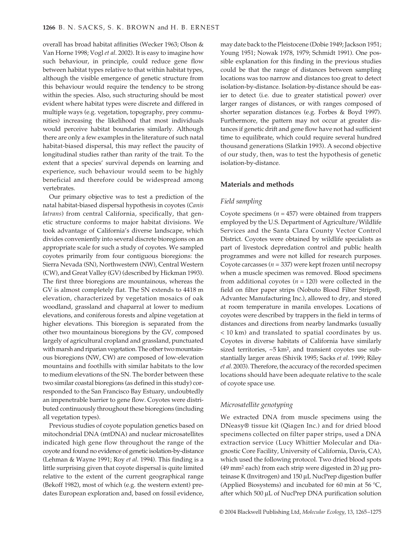overall has broad habitat affinities (Wecker 1963; Olson & Van Horne 1998; Vogl *et al*. 2002). It is easy to imagine how such behaviour, in principle, could reduce gene flow between habitat types relative to that within habitat types, although the visible emergence of genetic structure from this behaviour would require the tendency to be strong within the species. Also, such structuring should be most evident where habitat types were discrete and differed in multiple ways (e.g. vegetation, topography, prey communities) increasing the likelihood that most individuals would perceive habitat boundaries similarly. Although there are only a few examples in the literature of such natal habitat-biased dispersal, this may reflect the paucity of longitudinal studies rather than rarity of the trait. To the extent that a species' survival depends on learning and experience, such behaviour would seem to be highly beneficial and therefore could be widespread among vertebrates.

Our primary objective was to test a prediction of the natal habitat-biased dispersal hypothesis in coyotes (*Canis latrans*) from central California, specifically, that genetic structure conforms to major habitat divisions. We took advantage of California's diverse landscape, which divides conveniently into several discrete bioregions on an appropriate scale for such a study of coyotes. We sampled coyotes primarily from four contiguous bioregions: the Sierra Nevada (SN), Northwestern (NW), Central Western (CW), and Great Valley (GV) (described by Hickman 1993). The first three bioregions are mountainous, whereas the GV is almost completely flat. The SN extends to 4418 m elevation, characterized by vegetation mosaics of oak woodland, grassland and chaparral at lower to medium elevations, and coniferous forests and alpine vegetation at higher elevations. This bioregion is separated from the other two mountainous bioregions by the GV, composed largely of agricultural cropland and grassland, punctuated with marsh and riparian vegetation. The other two mountainous bioregions (NW, CW) are composed of low-elevation mountains and foothills with similar habitats to the low to medium elevations of the SN. The border between these two similar coastal bioregions (as defined in this study) corresponded to the San Francisco Bay Estuary, undoubtedly an impenetrable barrier to gene flow. Coyotes were distributed continuously throughout these bioregions (including all vegetation types).

Previous studies of coyote population genetics based on mitochondrial DNA (mtDNA) and nuclear microsatellites indicated high gene flow throughout the range of the coyote and found no evidence of genetic isolation-by-distance (Lehman & Wayne 1991; Roy *et al*. 1994). This finding is a little surprising given that coyote dispersal is quite limited relative to the extent of the current geographical range (Bekoff 1982), most of which (e.g. the western extent) predates European exploration and, based on fossil evidence,

may date back to the Pleistocene (Dobie 1949; Jackson 1951; Young 1951; Nowak 1978, 1979; Schmidt 1991). One possible explanation for this finding in the previous studies could be that the range of distances between sampling locations was too narrow and distances too great to detect isolation-by-distance. Isolation-by-distance should be easier to detect (i.e. due to greater statistical power) over larger ranges of distances, or with ranges composed of shorter separation distances (e.g. Forbes & Boyd 1997). Furthermore, the pattern may not occur at greater distances if genetic drift and gene flow have not had sufficient time to equilibrate, which could require several hundred thousand generations (Slatkin 1993). A second objective of our study, then, was to test the hypothesis of genetic isolation-by-distance.

#### **Materials and methods**

#### *Field sampling*

Coyote specimens ( $n = 457$ ) were obtained from trappers employed by the U.S. Department of Agriculture/Wildlife Services and the Santa Clara County Vector Control District. Coyotes were obtained by wildlife specialists as part of livestock depredation control and public health programmes and were not killed for research purposes. Coyote carcasses ( $n = 337$ ) were kept frozen until necropsy when a muscle specimen was removed. Blood specimens from additional coyotes  $(n = 120)$  were collected in the field on filter paper strips (Nobuto Blood Filter Strips®, Advantec Manufacturing Inc.), allowed to dry, and stored at room temperature in manila envelopes. Locations of coyotes were described by trappers in the field in terms of distances and directions from nearby landmarks (usually < 10 km) and translated to spatial coordinates by us. Coyotes in diverse habitats of California have similarly sized territories, ~5 km2, and transient coyotes use substantially larger areas (Shivik 1995; Sacks *et al*. 1999; Riley *et al*. 2003). Therefore, the accuracy of the recorded specimen locations should have been adequate relative to the scale of coyote space use.

# *Microsatellite genotyping*

We extracted DNA from muscle specimens using the DNeasy® tissue kit (Qiagen Inc.) and for dried blood specimens collected on filter paper strips, used a DNA extraction service (Lucy Whittier Molecular and Diagnostic Core Facility, University of California, Davis, CA), which used the following protocol. Two dried blood spots (49 mm2 each) from each strip were digested in 20 µg proteinase K (Invitrogen) and 150 µL NucPrep digestion buffer (Applied Biosystems) and incubated for 60 min at 56 °C, after which 500 µL of NucPrep DNA purification solution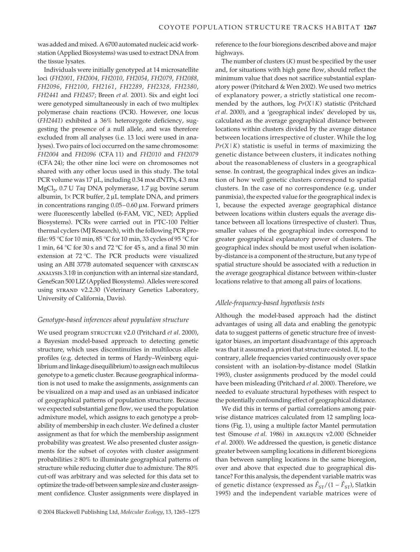was added and mixed. A 6700 automated nucleic acid workstation (Applied Biosystems) was used to extract DNA from the tissue lysates.

Individuals were initially genotyped at 14 microsatellite loci (*FH2001*, *FH2004*, *FH2010*, *FH2054*, *FH2079*, *FH2088*, *FH2096*, *FH2100*, *FH2161*, *FH2289*, *FH2328*, *FH2380*, *FH2441* and *FH2457*; Breen *et al*. 2001). Six and eight loci were genotyped simultaneously in each of two multiplex polymerase chain reactions (PCR). However, one locus (*FH2441*) exhibited a 36% heterozygote deficiency, suggesting the presence of a null allele, and was therefore excluded from all analyses (i.e. 13 loci were used in analyses). Two pairs of loci occurred on the same chromosome: *FH2004* and *FH2096* (CFA 11) and *FH2010* and *FH2079*  (CFA 24); the other nine loci were on chromosomes not shared with any other locus used in this study. The total PCR volume was 17 µL, including 0.34 mm dNTPs, 4.3 mm MgCl<sub>2</sub>, 0.7 U Taq DNA polymerase, 1.7 µg bovine serum albumin,  $1 \times PCR$  buffer,  $2 \mu L$  template DNA, and primers in concentrations ranging [0.05–0.60](https://0.05�0.60) µm. Forward primers were fluorescently labelled (6-FAM, VIC, NED; Applied Biosystems). PCRs were carried out in PTC-100 Peltier thermal cyclers (MJ Research), with the following PCR profile: 95 °C for 10 min, 85 °C for 10 min, 33 cycles of 95 °C for 1 min, 64 °C for 30 s and 72 °C for 45 s, and a final 30 min extension at 72 °C. The PCR products were visualized using an ABI 377® automated sequencer with genescan analysis 3.1® in conjunction with an internal size standard, GeneScan 500 LIZ (Applied Biosystems). Alleles were scored using strand v2.2.30 (Veterinary Genetics Laboratory, University of California, Davis).

# *Genotype-based inferences about population structure*

We used program structure v2.0 (Pritchard *et al.* 2000), a Bayesian model-based approach to detecting genetic structure, which uses discontinuities in multilocus allele profiles (e.g. detected in terms of Hardy–Weinberg equilibrium and linkage disequilibrium) to assign each multilocus genotype to a genetic cluster. Because geographical information is not used to make the assignments, assignments can be visualized on a map and used as an unbiased indicator of geographical patterns of population structure. Because we expected substantial gene flow, we used the population admixture model, which assigns to each genotype a probability of membership in each cluster. We defined a cluster assignment as that for which the membership assignment probability was greatest. We also presented cluster assignments for the subset of coyotes with cluster assignment probabilities ≥ 80% to illuminate geographical patterns of structure while reducing clutter due to admixture. The 80% cut-off was arbitrary and was selected for this data set to optimize the trade-off between sample size and cluster assignment confidence. Cluster assignments were displayed in

reference to the four bioregions described above and major highways.

The number of clusters  $(K)$  must be specified by the user and, for situations with high gene flow, should reflect the minimum value that does not sacrifice substantial explanatory power (Pritchard & Wen 2002). We used two metrics of explanatory power, a strictly statistical one recommended by the authors, log *Pr*(*X*|*K*) statistic (Pritchard *et al*. 2000), and a 'geographical index' developed by us, calculated as the average geographical distance between locations within clusters divided by the average distance between locations irrespective of cluster. While the log *Pr*(*X*|*K*) statistic is useful in terms of maximizing the genetic distance between clusters, it indicates nothing about the reasonableness of clusters in a geographical sense. In contrast, the geographical index gives an indication of how well genetic clusters correspond to spatial clusters. In the case of no correspondence (e.g. under panmixia), the expected value for the geographical index is 1, because the expected average geographical distance between locations within clusters equals the average distance between all locations (irrespective of cluster). Thus, smaller values of the geographical index correspond to greater geographical explanatory power of clusters. The geographical index should be most useful when isolationby-distance is a component of the structure, but any type of spatial structure should be associated with a reduction in the average geographical distance between within-cluster locations relative to that among all pairs of locations.

# *Allele-frequency-based hypothesis tests*

Although the model-based approach had the distinct advantages of using all data and enabling the genotypic data to suggest patterns of genetic structure free of investigator biases, an important disadvantage of this approach was that it assumed a priori that structure existed. If, to the contrary, allele frequencies varied continuously over space consistent with an isolation-by-distance model (Slatkin 1993), cluster assignments produced by the model could have been misleading (Pritchard *et al*. 2000). Therefore, we needed to evaluate structural hypotheses with respect to the potentially confounding effect of geographical distance.

We did this in terms of partial correlations among pairwise distance matrices calculated from 12 sampling locations (Fig. 1), using a multiple factor Mantel permutation test (Smouse *et al*. 1986) in arlequin v2.000 (Schneider *et al*. 2000). We addressed the question, is genetic distance greater between sampling locations in different bioregions than between sampling locations in the same bioregion, over and above that expected due to geographical distance? For this analysis, the dependent variable matrix was of genetic distance (expressed as  $\hat{F}_{ST}/(1 - \hat{F}_{ST})$ , Slatkin 1995) and the independent variable matrices were of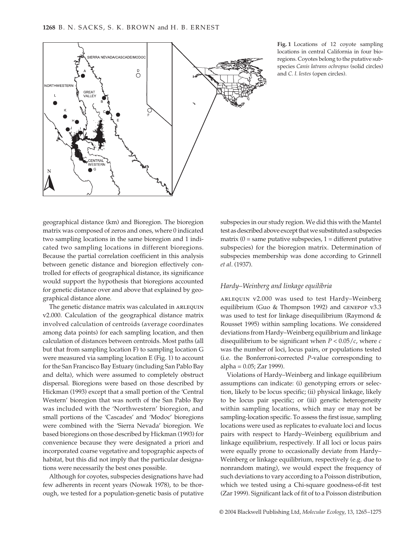

 **Fig. 1** Locations of 12 coyote sampling locations in central California in four bioregions. Coyotes belong to the putative subspecies *Canis latrans ochropus* (solid circles) and *C. l. lestes* (open circles).

geographical distance (km) and Bioregion. The bioregion matrix was composed of zeros and ones, where 0 indicated two sampling locations in the same bioregion and 1 indicated two sampling locations in different bioregions. Because the partial correlation coefficient in this analysis between genetic distance and bioregion effectively controlled for effects of geographical distance, its significance would support the hypothesis that bioregions accounted for genetic distance over and above that explained by geographical distance alone.

The genetic distance matrix was calculated in ARLEQUIN v2.000. Calculation of the geographical distance matrix involved calculation of centroids (average coordinates among data points) for each sampling location, and then calculation of distances between centroids. Most paths (all but that from sampling location F) to sampling location G were measured via sampling location E (Fig. 1) to account for the San Francisco Bay Estuary (including San Pablo Bay and delta), which were assumed to completely obstruct dispersal. Bioregions were based on those described by Hickman (1993) except that a small portion of the 'Central Western' bioregion that was north of the San Pablo Bay was included with the 'Northwestern' bioregion, and small portions of the 'Cascades' and 'Modoc' bioregions were combined with the 'Sierra Nevada' bioregion. We based bioregions on those described by Hickman (1993) for convenience because they were designated a priori and incorporated coarse vegetative and topographic aspects of habitat, but this did not imply that the particular designations were necessarily the best ones possible.

Although for coyotes, subspecies designations have had few adherents in recent years (Nowak 1978), to be thorough, we tested for a population-genetic basis of putative subspecies in our study region. We did this with the Mantel test as described above except that we substituted a subspecies matrix  $(0 = \text{same putative subspecies}, 1 = \text{different putative}$ subspecies) for the bioregion matrix. Determination of subspecies membership was done according to Grinnell *et al*. (1937).

#### *Hardy–Weinberg and linkage equilibria*

arlequin v2.000 was used to test Hardy–Weinberg equilibrium (Guo & Thompson 1992) and genepop v3.3 was used to test for linkage disequilibrium (Raymond & Rousset 1995) within sampling locations. We considered deviations from Hardy–Weinberg equilibrium and linkage disequilibrium to be significant when *P* < 0.05/*c*, where *c*  was the number of loci, locus pairs, or populations tested (i.e. the Bonferroni-corrected *P*-value corresponding to alpha = 0.05; Zar 1999).

Violations of Hardy–Weinberg and linkage equilibrium assumptions can indicate: (i) genotyping errors or selection, likely to be locus specific; (ii) physical linkage, likely to be locus pair specific; or (iii) genetic heterogeneity within sampling locations, which may or may not be sampling-location specific. To assess the first issue, sampling locations were used as replicates to evaluate loci and locus pairs with respect to Hardy–Weinberg equilibrium and linkage equilibrium, respectively. If all loci or locus pairs were equally prone to occasionally deviate from Hardy– Weinberg or linkage equilibrium, respectively (e.g. due to nonrandom mating), we would expect the frequency of such deviations to vary according to a Poisson distribution, which we tested using a Chi-square goodness-of-fit test (Zar 1999). Significant lack of fit of to a Poisson distribution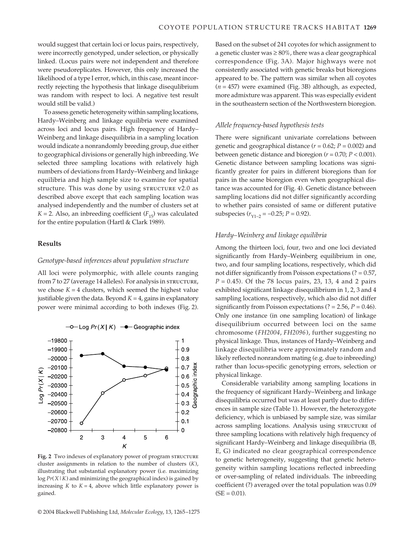would suggest that certain loci or locus pairs, respectively, were incorrectly genotyped, under selection, or physically linked. (Locus pairs were not independent and therefore were pseudoreplicates. However, this only increased the likelihood of a type I error, which, in this case, meant incorrectly rejecting the hypothesis that linkage disequlibrium was random with respect to loci. A negative test result would still be valid.)

To assess genetic heterogeneity within sampling locations, Hardy–Weinberg and linkage equilibria were examined across loci and locus pairs. High frequency of Hardy– Weinberg and linkage disequilibria in a sampling location would indicate a nonrandomly breeding group, due either to geographical divisions or generally high inbreeding. We selected three sampling locations with relatively high numbers of deviations from Hardy–Weinberg and linkage equilibria and high sample size to examine for spatial structure. This was done by using STRUCTURE v2.0 as described above except that each sampling location was analysed independently and the number of clusters set at  $K = 2$ . Also, an inbreeding coefficient ( $F_{15}$ ) was calculated for the entire population (Hartl & Clark 1989).

# **Results**

# *Genotype-based inferences about population structure*

All loci were polymorphic, with allele counts ranging from 7 to 27 (average 14 alleles). For analysis in STRUCTURE, we chose  $K = 4$  clusters, which seemed the highest value justifiable given the data. Beyond *K* = 4, gains in explanatory power were minimal according to both indexes (Fig. 2).



Fig. 2 Two indexes of explanatory power of program structure cluster assignments in relation to the number of clusters (*K*), illustrating that substantial explanatory power (i.e. maximizing log *Pr*(*X*|*K*) and minimizing the geographical index) is gained by increasing  $K$  to  $K = 4$ , above which little explanatory power is gained.

© 2004 Blackwell Publishing Ltd, *Molecular Ecology*, 13, 1265–1275

Based on the subset of 241 coyotes for which assignment to a genetic cluster was  $\geq 80\%$ , there was a clear geographical correspondence (Fig. 3A). Major highways were not consistently associated with genetic breaks but bioregions appeared to be. The pattern was similar when all coyotes (*n* = 457) were examined (Fig. 3B) although, as expected, more admixture was apparent. This was especially evident in the southeastern section of the Northwestern bioregion.

#### *Allele frequency-based hypothesis tests*

There were significant univariate correlations between genetic and geographical distance (*r =* 0.62; *P* = 0.002) and between genetic distance and bioregion (*r =* 0.70; *P* < 0.001). Genetic distance between sampling locations was significantly greater for pairs in different bioregions than for pairs in the same bioregion even when geographical distance was accounted for (Fig. 4). Genetic distance between sampling locations did not differ significantly according to whether pairs consisted of same or different putative subspecies ( $r_{Y1-2} = -0.25$ ; *P* = 0.92).

## *Hardy–Weinberg and linkage equilibria*

Among the thirteen loci, four, two and one loci deviated significantly from Hardy–Weinberg equilibrium in one, two, and four sampling locations, respectively, which did not differ significantly from Poisson expectations (? = 0.57, *P* = 0.45). Of the 78 locus pairs, 23, 13, 4 and 2 pairs exhibited significant linkage disequilibrium in 1, 2, 3 and 4 sampling locations, respectively, which also did not differ significantly from Poisson expectations  $(2 = 2.56, P = 0.46)$ . Only one instance (in one sampling location) of linkage disequilibrium occurred between loci on the same chromosome (*FH2004*, *FH2096*), further suggesting no physical linkage. Thus, instances of Hardy–Weinberg and linkage disequilibria were approximately random and likely reflected nonrandom mating (e.g. due to inbreeding) rather than locus-specific genotyping errors, selection or physical linkage.

Considerable variability among sampling locations in the frequency of significant Hardy–Weinberg and linkage disequilibria occurred but was at least partly due to differences in sample size (Table 1). However, the heterozygote deficiency, which is unbiased by sample size, was similar across sampling locations. Analysis using STRUCTURE of three sampling locations with relatively high frequency of significant Hardy–Weinberg and linkage disequilibria (B, E, G) indicated no clear geographical correspondence to genetic heterogeneity, suggesting that genetic heterogeneity within sampling locations reflected inbreeding or over-sampling of related individuals. The inbreeding coefficient (?) averaged over the total population was 0.09  $(SE = 0.01)$ .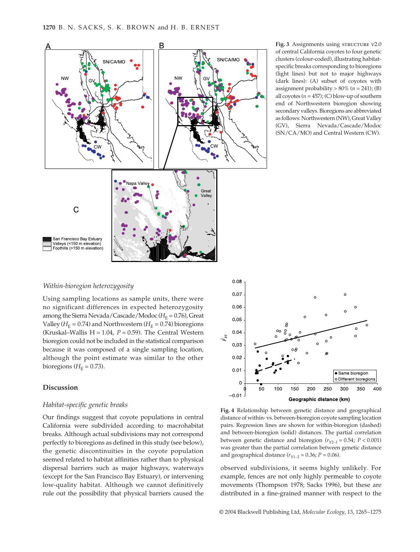

Fig. 3 Assignments using STRUCTURE v2.0 of central California coyotes to four genetic clusters (colour-coded), illustrating habitatspecific breaks corresponding to bioregions (light lines) but not to major highways (dark lines): (A) subset of coyotes with assignment probability  $> 80\%$  ( $n = 241$ ); (B) all coyotes  $(n = 457)$ ; (C) blow-up of southern end of Northwestern bioregion showing secondary valleys. Bioregions are abbreviated as follows: Northwestern (NW), Great Valley (GV), Sierra Nevada/Cascade/Modoc (SN/CA/MO) and Central Western (CW).

## *Within-bioregion heterozygosity*

Using sampling locations as sample units, there were no significant differences in expected heterozygosity among the Sierra Nevada/Cascade/Modoc (*H*<sub>E</sub> = 0.76), Great Valley ( $H_E$  = 0.74) and Northwestern ( $H_E$  = 0.74) bioregions (Kruskal–Wallis H = 1.04,  $P = 0.59$ ). The Central Western bioregion could not be included in the statistical comparison because it was composed of a single sampling location, although the point estimate was similar to the other bioregions ( $H_E = 0.73$ ).

## **Discussion**

## *Habitat-specific genetic breaks*

Our findings suggest that coyote populations in central California were subdivided according to macrohabitat breaks. Although actual subdivisions may not correspond perfectly to bioregions as defined in this study (see below), the genetic discontinuities in the coyote population seemed related to habitat affinities rather than to physical dispersal barriers such as major highways, waterways (except for the San Francisco Bay Estuary), or intervening low-quality habitat. Although we cannot definitively rule out the possibility that physical barriers caused the



**Fig. 4** Relationship between genetic distance and geographical distance of within- vs. between-bioregion coyote sampling location pairs. Regression lines are shown for within-bioregion (dashed) and between-bioregion (solid) distances. The partial correlation between genetic distance and bioregion ( $r_{\gamma_{2-1}} = 0.54$ ;  $P < 0.001$ ) was greater than the partial correlation between genetic distance and geographical distance ( $r_{\text{Y1–2}}$  = 0.36; *P* = 0.06).

observed subdivisions, it seems highly unlikely. For example, fences are not only highly permeable to coyote movements (Thompson 1978; Sacks 1996), but these are distributed in a fine-grained manner with respect to the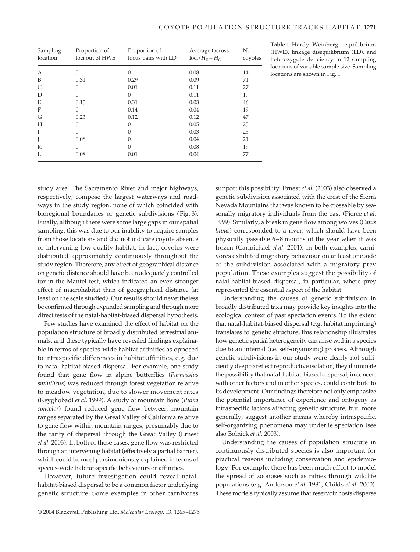| Sampling<br>location | Proportion of<br>loci out of HWE | Proportion of<br>locus pairs with LD | Average (across<br>loci) $H_{\rm E} - H_{\rm O}$ | No.<br>coyotes |
|----------------------|----------------------------------|--------------------------------------|--------------------------------------------------|----------------|
| А                    | $\Omega$                         | $\Omega$                             | 0.08                                             | 14             |
| B                    | 0.31                             | 0.29                                 | 0.09                                             | 71             |
| C                    | $\Omega$                         | 0.01                                 | 0.11                                             | 27             |
| D                    | $\Omega$                         | $\Omega$                             | 0.11                                             | 19             |
| E                    | 0.15                             | 0.31                                 | 0.03                                             | 46             |
| F                    | $\Omega$                         | 0.14                                 | 0.04                                             | 19             |
| G                    | 0.23                             | 0.12                                 | 0.12                                             | 47             |
| Н                    | 0                                | $\Omega$                             | 0.05                                             | 25             |
| I                    | 0                                | 0                                    | 0.03                                             | 25             |
| J                    | 0.08                             |                                      | 0.04                                             | 21             |
| K                    | 0                                | 0                                    | 0.08                                             | 19             |
| L                    | 0.08                             | 0.01                                 | 0.04                                             | 77             |

**Table 1** Hardy–Weinberg equilibrium (HWE), linkage disequilibrium (LD), and heterozygote deficiency in 12 sampling locations of variable sample size. Sampling locations are shown in Fig. 1

study area. The Sacramento River and major highways, respectively, compose the largest waterways and roadways in the study region, none of which coincided with bioregional boundaries or genetic subdivisions (Fig. 3). Finally, although there were some large gaps in our spatial sampling, this was due to our inability to acquire samples from those locations and did not indicate coyote absence or intervening low-quality habitat. In fact, coyotes were distributed approximately continuously throughout the study region. Therefore, any effect of geographical distance on genetic distance should have been adequately controlled for in the Mantel test, which indicated an even stronger effect of macrohabitat than of geographical distance (at least on the scale studied). Our results should nevertheless be confirmed through expanded sampling and through more direct tests of the natal-habitat-biased dispersal hypothesis.

Few studies have examined the effect of habitat on the population structure of broadly distributed terrestrial animals, and these typically have revealed findings explainable in terms of species-wide habitat affinities as opposed to intraspecific differences in habitat affinities, e.g. due to natal-habitat-biased dispersal. For example, one study found that gene flow in alpine butterflies (*Parnassius smintheus*) was reduced through forest vegetation relative to meadow vegetation, due to slower movement rates (Keyghobadi *et al*. 1999). A study of mountain lions (*Puma concolor*) found reduced gene flow between mountain ranges separated by the Great Valley of California relative to gene flow within mountain ranges, presumably due to the rarity of dispersal through the Great Valley (Ernest *et al*. 2003). In both of these cases, gene flow was restricted through an intervening habitat (effectively a partial barrier), which could be most parsimoniously explained in terms of species-wide habitat-specific behaviours or affinities.

However, future investigation could reveal natalhabitat-biased dispersal to be a common factor underlying genetic structure. Some examples in other carnivores support this possibility. Ernest *et al*. (2003) also observed a genetic subdivision associated with the crest of the Sierra Nevada Mountains that was known to be crossable by seasonally migratory individuals from the east (Pierce *et al*. 1999). Similarly, a break in gene flow among wolves (*Canis lupus*) corresponded to a river, which should have been physically passable 6–8 months of the year when it was frozen (Carmichael *et al*. 2001). In both examples, carnivores exhibited migratory behaviour on at least one side of the subdivision associated with a migratory prey population. These examples suggest the possibility of natal-habitat-biased dispersal, in particular, where prey represented the essential aspect of the habitat.

Understanding the causes of genetic subdivision in broadly distributed taxa may provide key insights into the ecological context of past speciation events. To the extent that natal-habitat-biased dispersal (e.g. habitat imprinting) translates to genetic structure, this relationship illustrates how genetic spatial heterogeneity can arise within a species due to an internal (i.e. self-organizing) process. Although genetic subdivisions in our study were clearly not sufficiently deep to reflect reproductive isolation, they illuminate the possibility that natal-habitat-biased dispersal, in concert with other factors and in other species, could contribute to its development. Our findings therefore not only emphasize the potential importance of experience and ontogeny as intraspecific factors affecting genetic structure, but, more generally, suggest another means whereby intraspecific, self-organizing phenomena may underlie speciation (see also Bolnick *et al*. 2003).

Understanding the causes of population structure in continuously distributed species is also important for practical reasons including conservation and epidemiology. For example, there has been much effort to model the spread of zoonoses such as rabies through wildlife populations (e.g. Anderson *et al*. 1981; Childs *et al*. 2000). These models typically assume that reservoir hosts disperse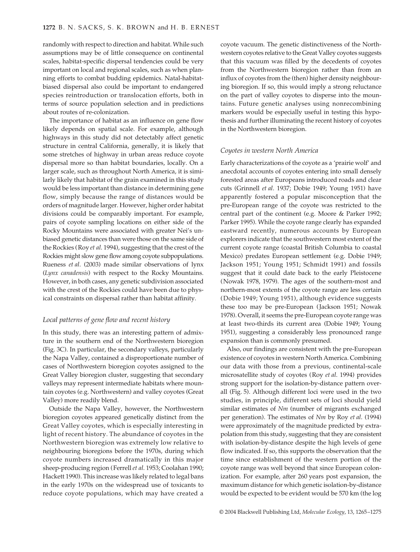randomly with respect to direction and habitat. While such assumptions may be of little consequence on continental scales, habitat-specific dispersal tendencies could be very important on local and regional scales, such as when planning efforts to combat budding epidemics. Natal-habitatbiased dispersal also could be important to endangered species reintroduction or translocation efforts, both in terms of source population selection and in predictions about routes of re-colonization.

The importance of habitat as an influence on gene flow likely depends on spatial scale. For example, although highways in this study did not detectably affect genetic structure in central California, generally, it is likely that some stretches of highway in urban areas reduce coyote dispersal more so than habitat boundaries, locally. On a larger scale, such as throughout North America, it is similarly likely that habitat of the grain examined in this study would be less important than distance in determining gene flow, simply because the range of distances would be orders of magnitude larger. However, higher order habitat divisions could be comparably important. For example, pairs of coyote sampling locations on either side of the Rocky Mountains were associated with greater Nei's unbiased genetic distances than were those on the same side of the Rockies (Roy *et al*. 1994), suggesting that the crest of the Rockies might slow gene flow among coyote subpopulations. Rueness *et al*. (2003) made similar observations of lynx (*Lynx canadensis*) with respect to the Rocky Mountains. However, in both cases, any genetic subdivision associated with the crest of the Rockies could have been due to physical constraints on dispersal rather than habitat affinity.

# *Local patterns of gene flow and recent history*

In this study, there was an interesting pattern of admixture in the southern end of the Northwestern bioregion (Fig. 3C). In particular, the secondary valleys, particularly the Napa Valley, contained a disproportionate number of cases of Northwestern bioregion coyotes assigned to the Great Valley bioregion cluster, suggesting that secondary valleys may represent intermediate habitats where mountain coyotes (e.g. Northwestern) and valley coyotes (Great Valley) more readily blend.

Outside the Napa Valley, however, the Northwestern bioregion coyotes appeared genetically distinct from the Great Valley coyotes, which is especially interesting in light of recent history. The abundance of coyotes in the Northwestern bioregion was extremely low relative to neighbouring bioregions before the 1970s, during which coyote numbers increased dramatically in this major sheep-producing region (Ferrell *et al*. 1953; Coolahan 1990; Hackett 1990). This increase was likely related to legal bans in the early 1970s on the widespread use of toxicants to reduce coyote populations, which may have created a

coyote vacuum. The genetic distinctiveness of the Northwestern coyotes relative to the Great Valley coyotes suggests that this vacuum was filled by the decedents of coyotes from the Northwestern bioregion rather than from an influx of coyotes from the (then) higher density neighbouring bioregion. If so, this would imply a strong reluctance on the part of valley coyotes to disperse into the mountains. Future genetic analyses using nonrecombining markers would be especially useful in testing this hypothesis and further illuminating the recent history of coyotes in the Northwestern bioregion.

### *Coyotes in western North America*

Early characterizations of the coyote as a 'prairie wolf' and anecdotal accounts of coyotes entering into small densely forested areas after Europeans introduced roads and clear cuts (Grinnell *et al*. 1937; Dobie 1949; Young 1951) have apparently fostered a popular misconception that the pre-European range of the coyote was restricted to the central part of the continent (e.g. Moore & Parker 1992; Parker 1995). While the coyote range clearly has expanded eastward recently, numerous accounts by European explorers indicate that the southwestern most extent of the current coyote range (coastal British Columbia to coastal Mexico) predates European settlement (e.g. Dobie 1949; Jackson 1951; Young 1951; Schmidt 1991) and fossils suggest that it could date back to the early Pleistocene (Nowak 1978, 1979). The ages of the southern-most and northern-most extents of the coyote range are less certain (Dobie 1949; Young 1951), although evidence suggests these too may be pre-European (Jackson 1951; Nowak 1978). Overall, it seems the pre-European coyote range was at least two-thirds its current area (Dobie 1949; Young 1951), suggesting a considerably less pronounced range expansion than is commonly presumed.

Also, our findings are consistent with the pre-European existence of coyotes in western North America. Combining our data with those from a previous, continental-scale microsatellite study of coyotes (Roy *et al*. 1994) provides strong support for the isolation-by-distance pattern overall (Fig. 5). Although different loci were used in the two studies, in principle, different sets of loci should yield similar estimates of *Nm* (number of migrants exchanged per generation). The estimates of *Nm* by Roy *et al*. (1994) were approximately of the magnitude predicted by extrapolation from this study, suggesting that they are consistent with isolation-by-distance despite the high levels of gene flow indicated. If so, this supports the observation that the time since establishment of the western portion of the coyote range was well beyond that since European colonization. For example, after 260 years post expansion, the maximum distance for which genetic isolation-by-distance would be expected to be evident would be 570 km (the log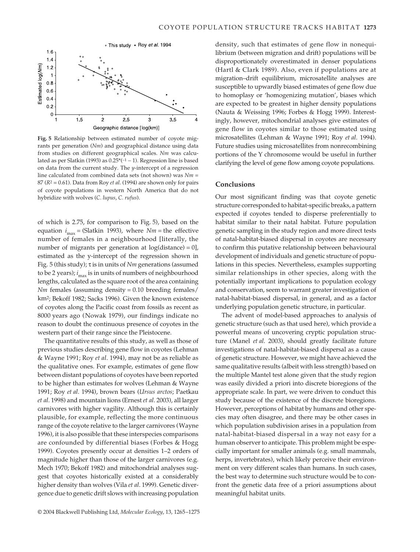

**Fig. 5** Relationship between estimated number of coyote migrants per generation (*Nm*) and geographical distance using data from studies on different geographical scales. *Nm* was calculated as per Slatkin (1993) as 0.25\*(<sup>−</sup>1 − 1). Regression line is based on data from the current study. The *y*-intercept of a regression line calculated from combined data sets (not shown) was *Nm* = 87 (*R*2 = 0.61). Data from Roy *et al*. (1994) are shown only for pairs of coyote populations in western North America that do not hybridize with wolves (*C. lupus*, *C. rufus*).

of which is 2.75, for comparison to Fig. 5), based on the equation *i* max = (Slatkin 1993), where *Nm* = the effective number of females in a neighbourhood [literally, the number of migrants per generation at  $log(distance) = 0$ , estimated as the y-intercept of the regression shown in Fig. 5 (this study); τ is in units of *Nm* generations (assumed to be 2 years);  $i_{\text{max}}$  is in units of numbers of neighbourhood lengths, calculated as the square root of the area containing *Nm* females (assuming density = 0.10 breeding females/ km2; Bekoff 1982; Sacks 1996). Given the known existence of coyotes along the Pacific coast from fossils as recent as 8000 years ago (Nowak 1979), our findings indicate no reason to doubt the continuous presence of coyotes in the western part of their range since the Pleistocene.

The quantitative results of this study, as well as those of previous studies describing gene flow in coyotes (Lehman & Wayne 1991; Roy *et al*. 1994), may not be as reliable as the qualitative ones. For example, estimates of gene flow between distant populations of coyotes have been reported to be higher than estimates for wolves (Lehman & Wayne 1991; Roy *et al*. 1994), brown bears (*Ursus arctos*; Paetkau *et al*. 1998) and mountain lions (Ernest *et al*. 2003), all larger carnivores with higher vagility. Although this is certainly plausible, for example, reflecting the more continuous range of the coyote relative to the larger carnivores (Wayne 1996), it is also possible that these interspecies comparisons are confounded by differential biases (Forbes & Hogg 1999). Coyotes presently occur at densities 1–2 orders of magnitude higher than those of the larger carnivores (e.g. Mech 1970; Bekoff 1982) and mitochondrial analyses suggest that coyotes historically existed at a considerably higher density than wolves (Vila *et al*. 1999). Genetic divergence due to genetic drift slows with increasing population

density, such that estimates of gene flow in nonequilibrium (between migration and drift) populations will be disproportionately overestimated in denser populations (Hartl & Clark 1989). Also, even if populations are at migration–drift equilibrium, microsatellite analyses are susceptible to upwardly biased estimates of gene flow due to homoplasy or 'homogenizing mutation', biases which are expected to be greatest in higher density populations (Nauta & Weissing 1996; Forbes & Hogg 1999). Interestingly, however, mitochondrial analyses give estimates of gene flow in coyotes similar to those estimated using microsatellites (Lehman & Wayne 1991; Roy *et al*. 1994). Future studies using microsatellites from nonrecombining portions of the Y chromosome would be useful in further clarifying the level of gene flow among coyote populations.

## **Conclusions**

Our most significant finding was that coyote genetic structure corresponded to habitat-specific breaks, a pattern expected if coyotes tended to disperse preferentially to habitat similar to their natal habitat. Future population genetic sampling in the study region and more direct tests of natal-habitat-biased dispersal in coyotes are necessary to confirm this putative relationship between behavioural development of individuals and genetic structure of populations in this species. Nevertheless, examples supporting similar relationships in other species, along with the potentially important implications to population ecology and conservation, seem to warrant greater investigation of natal-habitat-biased dispersal, in general, and as a factor underlying population genetic structure, in particular.

The advent of model-based approaches to analysis of genetic structure (such as that used here), which provide a powerful means of uncovering cryptic population structure (Manel *et al*. 2003), should greatly facilitate future investigations of natal-habitat-biased dispersal as a cause of genetic structure. However, we might have achieved the same qualitative results (albeit with less strength) based on the multiple Mantel test alone given that the study region was easily divided a priori into discrete bioregions of the appropriate scale. In part, we were driven to conduct this study because of the existence of the discrete bioregions. However, perceptions of habitat by humans and other species may often disagree, and there may be other cases in which population subdivision arises in a population from natal-habitat-biased dispersal in a way not easy for a human observer to anticipate. This problem might be especially important for smaller animals (e.g. small mammals, herps, invertebrates), which likely perceive their environment on very different scales than humans. In such cases, the best way to determine such structure would be to confront the genetic data free of a priori assumptions about meaningful habitat units.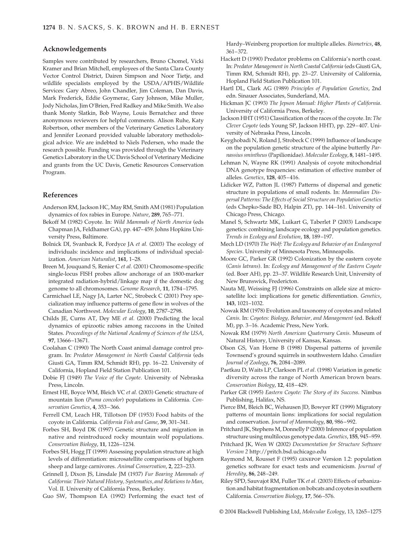## **Acknowledgements**

Samples were contributed by researchers, Bruno Chomel, Vicki Kramer and Brian Mitchell, employees of the Santa Clara County Vector Control District, Dairen Simpson and Noor Tietje, and wildlife specialists employed by the USDA/APHIS/Wildlife Services: Gary Abreo, John Chandler, Jim Coleman, Dan Davis, Mark Frederick, Eddie Goymerac, Gary Johnson, Mike Muller, Jody Nicholas, Jim O'Brien, Fred Radkey and Mike Smith. We also thank Monty Slatkin, Bob Wayne, Louis Bernatchez and three anonymous reviewers for helpful comments. Alison Ruhe, Katy Robertson, other members of the Veterinary Genetics Laboratory and Jennifer Leonard provided valuable laboratory methodological advice. We are indebted to Niels Pedersen, who made the research possible. Funding was provided through the Veterinary Genetics Laboratory in the UC Davis School of Veterinary Medicine and grants from the UC Davis, Genetic Resources Conservation Program.

## **References**

- Anderson RM, Jackson HC, May RM, Smith AM (1981) Population dynamics of fox rabies in Europe. *Nature*, **289**, 765–771.
- Bekoff M (1982) Coyote. In: *Wild Mammals of North America* (eds Chapman JA, Feldhamer GA), pp. 447–459. Johns Hopkins University Press, Baltimore.
- Bolnick DI, Svanback R, Fordyce JA *et al.* (2003) The ecology of individuals: incidence and implications of individual specialization. *American Naturalist*, **161**, 1–28.
- Breen M, Jouquand S, Renier C *et al.* (2001) Chromosome-specific single-locus FISH probes allow anchorage of an 1800-marker integrated radiation-hybrid/linkage map if the domestic dog genome to all chromosomes. *Genome Research*, **11**, 1784–1795.
- Carmichael LE, Nagy JA, Larter NC, Strobeck C (2001) Prey specialization may influence patterns of gene flow in wolves of the Canadian Northwest. *Molecular Ecology*, **10**, 2787–2798.
- Childs JE, Curns AT, Dey ME *et al.* (2000) Predicting the local dynamics of epizootic rabies among raccoons in the United States. *Proceedings of the National Academy of Sciences of the USA*, **97**, 13666–13671.
- Coolahan C (1990) The North Coast animal damage control program. In: *Predator Management in North Coastal California* (eds Giusti GA, Timm RM, Schmidt RH), pp. 16–22. University of California, Hopland Field Station Publication 101.
- Dobie FJ (1949) *The Voice of the Coyote*. University of Nebraska Press, Lincoln.
- Ernest HE, Boyce WM, Bleich VC *et al.* (2003) Genetic structure of mountain lion (*Puma concolor*) populations in California. *Conservation Genetics*, **4**, 353–366.
- Ferrell CM, Leach HR, Tillotson DF (1953) Food habits of the coyote in California. *California Fish and Game*, **39**, 301–341.
- Forbes SH, Boyd DK (1997) Genetic structure and migration in native and reintroduced rocky mountain wolf populations. *Conservation Biology*, **11**, 1226–1234.
- Forbes SH, Hogg JT (1999) Assessing population structure at high levels of differentiation: microsatellite comparisons of bighorn sheep and large carnivores. *Animal Conservation*, **2**, 223–233.
- Grinnell J, Dixon JS, Linsdale JM (1937) *Fur Bearing Mammals of California: Their Natural History, Systematics, and Relations to Man*, Vol. II. University of California Press, Berkeley.

Guo SW, Thompson EA (1992) Performing the exact test of

Hardy–Weinberg proportion for multiple alleles. *Biometrics*, **48**, 361–372.

- Hackett D (1990) Predator problems on California's north coast. In: *Predator Management in North Coastal California* (eds Giusti GA, Timm RM, Schmidt RH), pp. 23–27. University of California, Hopland Field Station Publication 101.
- Hartl DL, Clark AG (1989) *Principles of Population Genetics*, 2nd edn. Sinauer Associates, Sunderland, MA.
- Hickman JC (1993) *The Jepson Manual: Higher Plants of California*. University of California Press, Berkeley.
- Jackson HHT (1951) Classification of the races of the coyote. In: *The Clever Coyote* (eds Young SP, Jackson HHT), pp. 229–407. University of Nebraska Press, Lincoln.
- Keyghobadi N, Roland J, Strobeck C (1999) Influence of landscape on the population genetic structure of the alpine butterfly *Parnassius smintheus* (Papilionidae). *Molecular Ecology*, **8**, 1481–1495.
- Lehman N, Wayne RK (1991) Analysis of coyote mitochondrial DNA genotype frequencies: estimation of effective number of alleles. *Genetics*, **128**, 405–416.
- Lidicker WZ, Patton JL (1987) Patterns of dispersal and genetic structure in populations of small rodents. In: *Mammalian Dispersal Patterns: The Effects of Social Structure on Population Genetics*  (eds Chepko-Sade BD, Halpin ZT), pp. 144–161. University of Chicago Press, Chicago.
- Manel S, Schwartz MK, Luikart G, Taberlet P (2003) Landscape genetics: combining landscape ecology and population genetics. *Trends in Ecology and Evolution*, **18**, 189–197.
- Mech LD (1970) *The Wolf: The Ecology and Behavior of an Endangered Species*. University of Minnesota Press, Minneapolis.
- Moore GC, Parker GR (1992) Colonization by the eastern coyote (*Canis latrans*). In: *Ecology and Management of the Eastern Coyote*  (ed. Boer AH), pp. 23–37. Wildlife Research Unit, University of New Brunswick, Fredericton.
- Nauta MJ, Weissing FJ (1996) Constraints on allele size at microsatellite loci: implications for genetic differentiation. *Genetics*, **143**, 1021–1032.
- Nowak RM (1978) Evolution and taxonomy of coyotes and related *Canis*. In: *Coyotes: Biology, Behavior, and Management* (ed. Bekoff M), pp. 3–16. Academic Press, New York.
- Nowak RM (1979) *North American Quaternary Canis*. Museum of Natural History, University of Kansas, Kansas.
- Olson GS, Van Horne B (1998) Dispersal patterns of juvenile Townsend's ground squirrels in southwestern Idaho. *Canadian Journal of Zoology*, **76**, 2084–2089.
- Paetkau D, Waits LP, Clarkson PL *et al.* (1998) Variation in genetic diversity across the range of North American brown bears. *Conservation Biology*, **12**, 418–429.
- Parker GR (1995) *Eastern Coyote: The Story of its Success*. Nimbus Publishing, Halifax, NS.
- Pierce BM, Bleich BC, Wehausen JD, Bowyer RT (1999) Migratory patterns of mountain lions: implications for social regulation and conservation. *Journal of Mammology*, **80**, 986–992.
- Pritchard JK, Stephens M, Donnelly P (2000) Inference of population structure using multilocus genotype data. *Genetics*, **155**, 945–959.
- Pritchard JK, Wen W (2002) *Documentation for Structure Software Version 2* <http://pritch.bsd.uchicago.edu>
- Raymond M, Rousset F (1995) genepop Version 1.2: population genetics software for exact tests and ecumenicism. *Journal of Heredity*, **86**, 248–249.
- Riley SPD, Sauvajot RM, Fuller TK *et al.* (2003) Effects of urbanization and habitat fragmentation on bobcats and coyotes in southern California. *Conservation Biology*, **17**, 566–576.

© 2004 Blackwell Publishing Ltd, *Molecular Ecology*, 13, 1265–1275